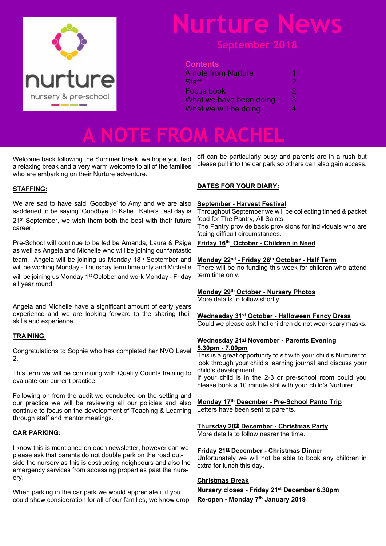

# **Nurture News**

#### **Contents**

| <b>A</b> note from Nurture                     |             |                       |   |
|------------------------------------------------|-------------|-----------------------|---|
| Staff<br>Focus book<br>What we have been doing | 2<br>2<br>З |                       |   |
|                                                |             | What we will be doing | 4 |
|                                                |             |                       |   |

**A NOTE FROM RACHEL**

Welcome back following the Summer break, we hope you had a relaxing break and a very warm welcome to all of the families who are embarking on their Nurture adventure.

#### **STAFFING:**

We are sad to have said 'Goodbye' to Amy and we are also saddened to be saying 'Goodbye' to Katie. Katie's last day is 21<sup>st</sup> September, we wish them both the best with their future career.

Pre-School will continue to be led be Amanda, Laura & Paige as well as Angela and Michelle who will be joining our fantastic team. Angela will be joining us Monday 18<sup>th</sup> September and will be working Monday - Thursday term time only and Michelle will be joining us Monday 1<sup>st</sup> October and work Monday - Friday all year round.

Angela and Michelle have a significant amount of early years experience and we are looking forward to the sharing their skills and experience.

#### **TRAINING**:

Congratulations to Sophie who has completed her NVQ Level 2.

This term we will be continuing with Quality Counts training to evaluate our current practice.

Following on from the audit we conducted on the setting and our practice we will be reviewing all our policies and also continue to focus on the development of Teaching & Learning through staff and mentor meetings.

#### **CAR PARKING:**

I know this is mentioned on each newsletter, however can we please ask that parents do not double park on the road outside the nursery as this is obstructing neighbours and also the emergency services from accessing properties past the nursery.

When parking in the car park we would appreciate it if you could show consideration for all of our families, we know drop off can be particularly busy and parents are in a rush but please pull into the car park so others can also gain access.

#### **DATES FOR YOUR DIARY:**

#### **September - Harvest Festival**

Throughout September we will be collecting tinned & packet food for The Pantry, All Saints.

The Pantry provide basic provisions for individuals who are facing difficult circumstances.

#### **Friday 16th October - Children in Need**

#### **Monday 22nd - Friday 26th October - Half Term**

There will be no funding this week for children who attend term time only.

#### **Monday 29th October - Nursery Photos**

More details to follow shortly.

#### **Wednesday 31st October - Halloween Fancy Dress**

Could we please ask that children do not wear scary masks.

#### **Wednesday 21st November - Parents Evening 5.30pm - 7.00pm**

This is a great opportunity to sit with your child's Nurturer to look through your child's learning journal and discuss your child's development.

If your child is in the 2-3 or pre-school room could you please book a 10 minute slot with your child's Nurturer.

### **Monday 17th Deecmber - Pre-School Panto Trip**

Letters have been sent to parents.

#### **Thursday 20th December - Christmas Party**

More details to follow nearer the time.

#### **Friday 21st December - Christmas Dinner**

Unfortunately we will not be able to book any children in extra for lunch this day.

#### **Christmas Break**

**Nursery closes - Friday 21st December 6.30pm**

**Re-open - Monday 7th January 2019**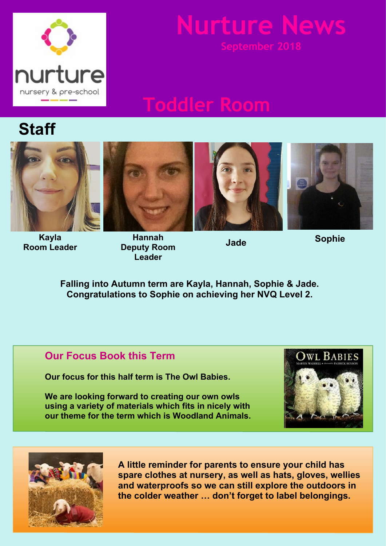

# **Nurture News**

## **Toddler Room**

## **Staff**





**Kayla Room Leader**

**Hannah Deputy Room Leader**





**Jade**

**Sophie**

**Falling into Autumn term are Kayla, Hannah, Sophie & Jade. Congratulations to Sophie on achieving her NVQ Level 2.**

### **Our Focus Book this Term**

**Our focus for this half term is The Owl Babies.**

**We are looking forward to creating our own owls using a variety of materials which fits in nicely with our theme for the term which is Woodland Animals.**





**A little reminder for parents to ensure your child has spare clothes at nursery, as well as hats, gloves, wellies and waterproofs so we can still explore the outdoors in the colder weather … don't forget to label belongings.**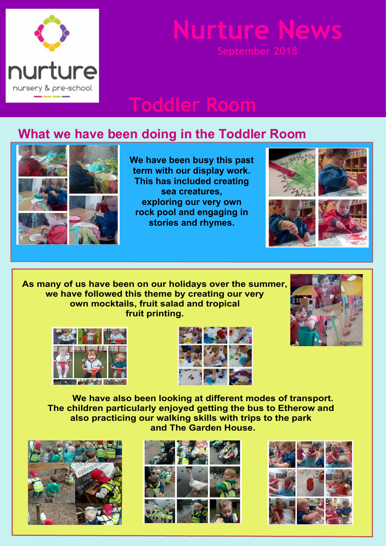

# **Nurture New**

## **Toddler Room**

### **What we have been doing in the Toddler Room**



**We have been busy this past term with our display work. This has included creating sea creatures, exploring our very own rock pool and engaging in stories and rhymes.**







**As many of us have been on our holidays over the summer, we have followed this theme by creating our very own mocktails, fruit salad and tropical fruit printing.**







**We have also been looking at different modes of transport. The children particularly enjoyed getting the bus to Etherow and also practicing our walking skills with trips to the park and The Garden House.**